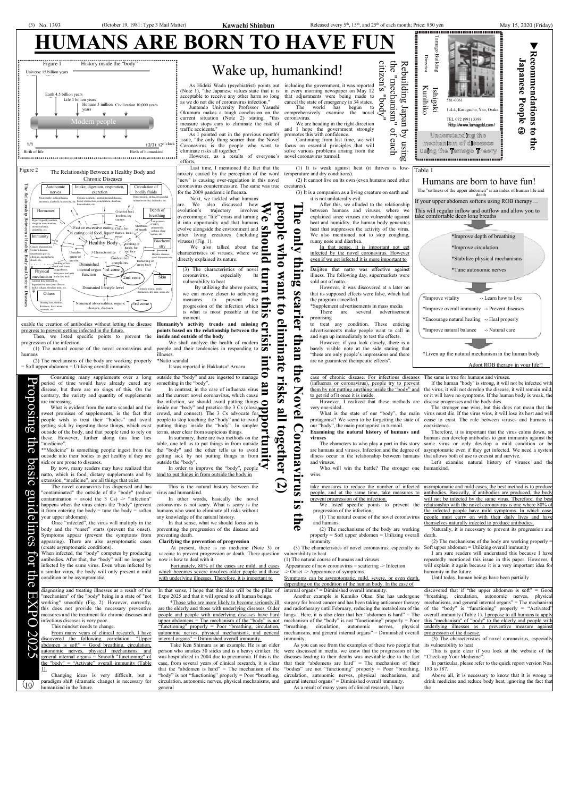

 $0c$ 

 $\Omega$  $\boldsymbol{\sigma}$ 

**GS** 

IO

 $\Box$  $\Omega$ 

U

 $(10)$ 

people, and at the same time, take measures to antibodies. Basically, if antibodies are produced, the body prevent progression of the infection. will not be infected by the same virus. Therefore, the best  $\overline{\mathbf{z}}$ We listed specific points to prevent the relationship with the novel coronavirus is one where 80% of progression of the infection. the infected people have mild symptoms. In which case (1) The natural course of the novel coronavirus people must carry on with their daily lives and have 5 themselves naturally infected to produce antibodies. and humans  $\bullet$ (2) The mechanisms of the body are working Naturally, it is necessary to prevent its progression and properly = Soft upper abdomen = Utilizing overall death. (2) The mechanisms of the body are working properly = immunity (3) The characteristics of novel coronavirus, especially its Soft upper abdomen = Utilizing overall immunity vulnerability to heat I am sure readers will understand this because I have repeatedly mentioned this issue in this paper. However, (1) The natural course of humans and viruses Appearance of new coronavirus = scattering -> Infection will explain it again because it is a very important idea for humanity in the future. -> Onset -> Appearance of symptoms. Until today, human beings have been partially Symptoms can be asymptomatic, mild, severe, or even death, depending on the condition of the human body. In the case of

From many years of clinical research, I have discovered the following correlation: "Upper abdomen is soft" = Good breathing, circulation, autonomic nerves, physical mechanisms, and general internal organs = Smooth "functioning" of the "body" = "Activate" overall immunity (Table 1).

discovered that if "the upper abdomen is soft" =  $Gooc$ "breathing, circulation, autonomic nerves, physical mechanisms, and general internal organs" = The mechanism of the "body" is "functioning" properly = "Activated" overall immunity (Table 1). **I** propose to all humans to apply this "mechanism" of "body" to the elderly and people with underlying illnesses as a preventive measure against progression of the disease.

The novel coronavirus has dispersed and has "contaminated" the outside of the "body" (reduce contamination = avoid the  $3 \text{ Cs}$ ) -> "infection" happens when the virus enters the "body" (prevent it from entering the body  $=$  tune the body  $=$  soften your upper abdomen).

Once "infected", the virus will multiply in the body and the "onset" starts (prevent the onset). Symptoms appear (prevent the symptoms from preventing death. appearing). There are also asymptomatic cases (create asymptomatic conditions).

When infected, the "body" competes by producing antibodies. After that, the "body" will no longer be infected by the same virus. Even when infected by a similar virus, the body will only present a mild condition or be asymptomatic.

This is the natural history between the virus and humankind.

In other words, basically the novel coronavirus is not scary. What is scary is the humans who want to eliminate all risks without any knowledge of the natural history.

In that sense, what we should focus on is preventing the progression of the disease and

## **Clarifying the prevention of progression**

At present, there is no medicine (Note 3) or vaccine to prevent progression or death. There question now is how to deal with it.

Fortunately, 80% of the cases are mild, and cases which becomes severe involves older people and those with underlying illnesses. Therefore, it is important to

diagnosing and treating illnesses as a result of the "mechanism" of the "body" being in a state of "not working" smoothly (Fig. 2). However, currently, this does not provide the necessary preventive measures and the treatment for chronic diseases and infectious diseases is very poor.

This mindset needs to change.

Changing ideas is very difficult, but a paradigm shift (dramatic change) is necessary for humankind in the future.

In that sense, I hope that this idea will be the pillar of internal organs" = Diminished overall immunity. Expo 2025 and that it will spread to all human beings.

\*Those who are more likely to become seriously ill are the elderly and those with underlying diseases. Older people and people with underlying diseases have hard upper abdomens  $=$  The mechanism of the "body" is not "functioning" properly = Poor "breathing, circulation, autonomic nerves, physical mechanisms, and general internal organs" = Diminished overall immunity.

Take Ken Shimura as an example. He is an older person who smokes 30 sticks and is a heavy drinker. He was hospitalized in 2004 due to pneumonia. If this is the case, from several years of clinical research, it is clear that the "abdomen is hard"  $=$  The mechanism of the "body" is not "functioning" properly = Poor "breathing, circulation, autonomic nerves, physical mechanisms, and general

Another example is Kumiko Okae. She has undergone surgery for breast cancer and has been taking anticancer therapy and radiotherapy until February, reducing the metabolism of the lungs. Here, it is also clear that her "abdomen is hard" = The mechanism of the "body" is not "functioning" properly = Poor "breathing, circulation, autonomic nerves, physical mechanisms, and general internal organs" = Diminished overall immunity.

As you can see from the examples of these two people that were discussed in media, we know that the progression of the diseases leading to their deaths was inevitable due to the fact that their "abdomens are hard" = The mechanism of their "bodies" are not "functioning" properly = Poor "breathing, circulation, autonomic nerves, physical mechanisms, and general internal organs" = Diminished overall immunity. As a result of many years of clinical research, I have

(3) The characteristics of novel coronavirus, especially its vulnerability to heat

This is quite clear if you look at the website of the "Check-up Your Medicine".

In particular, please refer to the quick report version Nos. 183 to 187.

Above all, it is necessary to know that it is wrong to drink medicine and reduce body heat, ignoring the fact that the